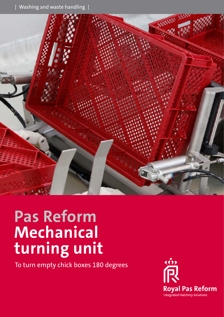

# **Pas Reform Mechanical turning unit**

To turn empty chick boxes 180 degrees